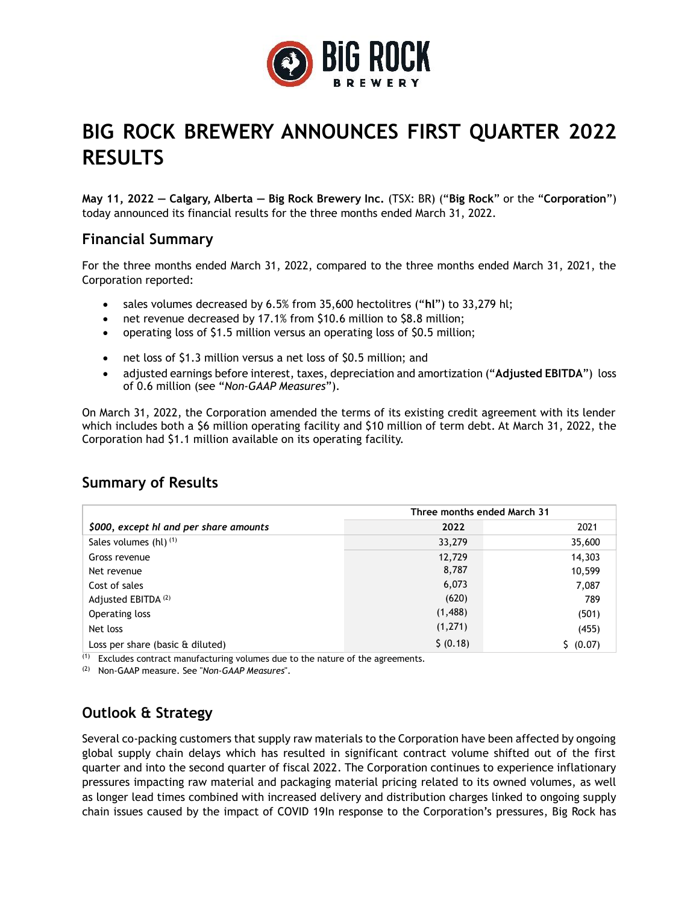

# **BIG ROCK BREWERY ANNOUNCES FIRST QUARTER 2022 RESULTS**

**May 11, 2022 — Calgary, Alberta — Big Rock Brewery Inc.** (TSX: BR) ("**Big Rock**" or the "**Corporation**") today announced its financial results for the three months ended March 31, 2022.

## **Financial Summary**

For the three months ended March 31, 2022, compared to the three months ended March 31, 2021, the Corporation reported:

- sales volumes decreased by 6.5% from 35,600 hectolitres ("**hl**") to 33,279 hl;
- net revenue decreased by 17.1% from \$10.6 million to \$8.8 million;
- operating loss of \$1.5 million versus an operating loss of \$0.5 million;
- net loss of \$1.3 million versus a net loss of \$0.5 million; and
- adjusted earnings before interest, taxes, depreciation and amortization ("**Adjusted EBITDA**") loss of 0.6 million (see "*Non-GAAP Measures*").

On March 31, 2022, the Corporation amended the terms of its existing credit agreement with its lender which includes both a \$6 million operating facility and \$10 million of term debt. At March 31, 2022, the Corporation had \$1.1 million available on its operating facility.

### **Summary of Results**

|                                          | Three months ended March 31 |           |
|------------------------------------------|-----------------------------|-----------|
| \$000, except hl and per share amounts   | 2022                        | 2021      |
| Sales volumes (hl) $(1)$                 | 33,279                      | 35,600    |
| Gross revenue                            | 12,729                      | 14,303    |
| Net revenue                              | 8,787                       | 10,599    |
| Cost of sales                            | 6,073                       | 7,087     |
| Adjusted EBITDA <sup>(2)</sup>           | (620)                       | 789       |
| Operating loss                           | (1,488)                     | (501)     |
| Net loss                                 | (1, 271)                    | (455)     |
| Loss per share (basic $\hat{a}$ diluted) | \$ (0.18)                   | \$ (0.07) |

 $(1)$  Excludes contract manufacturing volumes due to the nature of the agreements.

(2) Non-GAAP measure. See "*Non-GAAP Measures*".

## **Outlook & Strategy**

Several co-packing customers that supply raw materials to the Corporation have been affected by ongoing global supply chain delays which has resulted in significant contract volume shifted out of the first quarter and into the second quarter of fiscal 2022. The Corporation continues to experience inflationary pressures impacting raw material and packaging material pricing related to its owned volumes, as well as longer lead times combined with increased delivery and distribution charges linked to ongoing supply chain issues caused by the impact of COVID 19In response to the Corporation's pressures, Big Rock has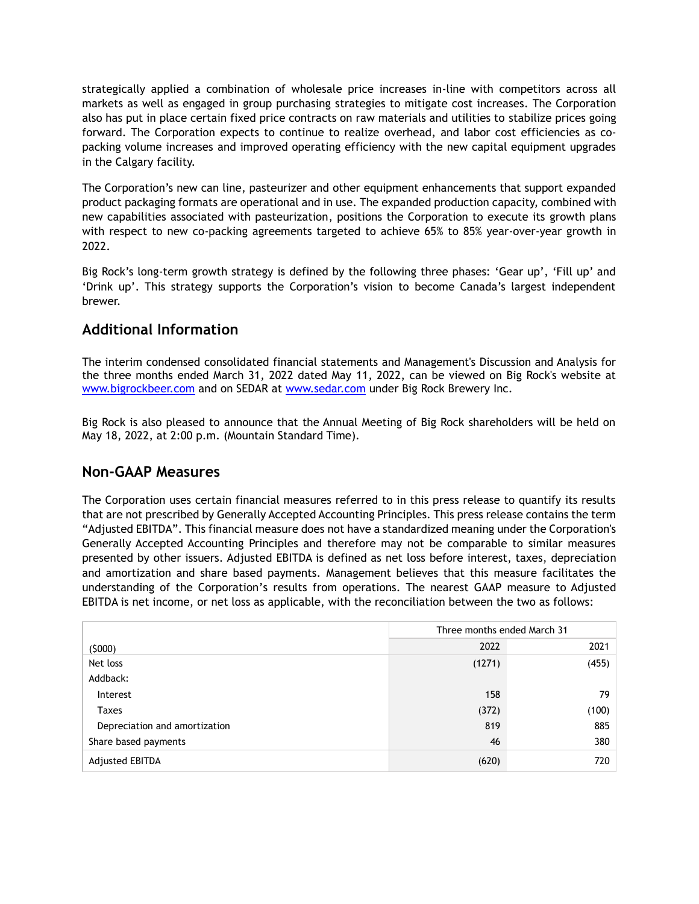strategically applied a combination of wholesale price increases in-line with competitors across all markets as well as engaged in group purchasing strategies to mitigate cost increases. The Corporation also has put in place certain fixed price contracts on raw materials and utilities to stabilize prices going forward. The Corporation expects to continue to realize overhead, and labor cost efficiencies as copacking volume increases and improved operating efficiency with the new capital equipment upgrades in the Calgary facility.

The Corporation's new can line, pasteurizer and other equipment enhancements that support expanded product packaging formats are operational and in use. The expanded production capacity, combined with new capabilities associated with pasteurization, positions the Corporation to execute its growth plans with respect to new co-packing agreements targeted to achieve 65% to 85% year-over-year growth in 2022.

Big Rock's long-term growth strategy is defined by the following three phases: 'Gear up', 'Fill up' and 'Drink up'. This strategy supports the Corporation's vision to become Canada's largest independent brewer.

## **Additional Information**

The interim condensed consolidated financial statements and Management's Discussion and Analysis for the three months ended March 31, 2022 dated May 11, 2022, can be viewed on Big Rock's website at [www.bigrockbeer.com](http://www.bigrockbeer.com/) and on SEDAR at [www.sedar.com](http://www.sedar.com/) under Big Rock Brewery Inc.

Big Rock is also pleased to announce that the Annual Meeting of Big Rock shareholders will be held on May 18, 2022, at 2:00 p.m. (Mountain Standard Time).

### **Non-GAAP Measures**

The Corporation uses certain financial measures referred to in this press release to quantify its results that are not prescribed by Generally Accepted Accounting Principles. This press release contains the term "Adjusted EBITDA". This financial measure does not have a standardized meaning under the Corporation's Generally Accepted Accounting Principles and therefore may not be comparable to similar measures presented by other issuers. Adjusted EBITDA is defined as net loss before interest, taxes, depreciation and amortization and share based payments. Management believes that this measure facilitates the understanding of the Corporation's results from operations. The nearest GAAP measure to Adjusted EBITDA is net income, or net loss as applicable, with the reconciliation between the two as follows:

|                               | Three months ended March 31 |       |
|-------------------------------|-----------------------------|-------|
| (5000)                        | 2022                        | 2021  |
| Net loss                      | (1271)                      | (455) |
| Addback:                      |                             |       |
| Interest                      | 158                         | 79    |
| Taxes                         | (372)                       | (100) |
| Depreciation and amortization | 819                         | 885   |
| Share based payments          | 46                          | 380   |
| Adjusted EBITDA               | (620)                       | 720   |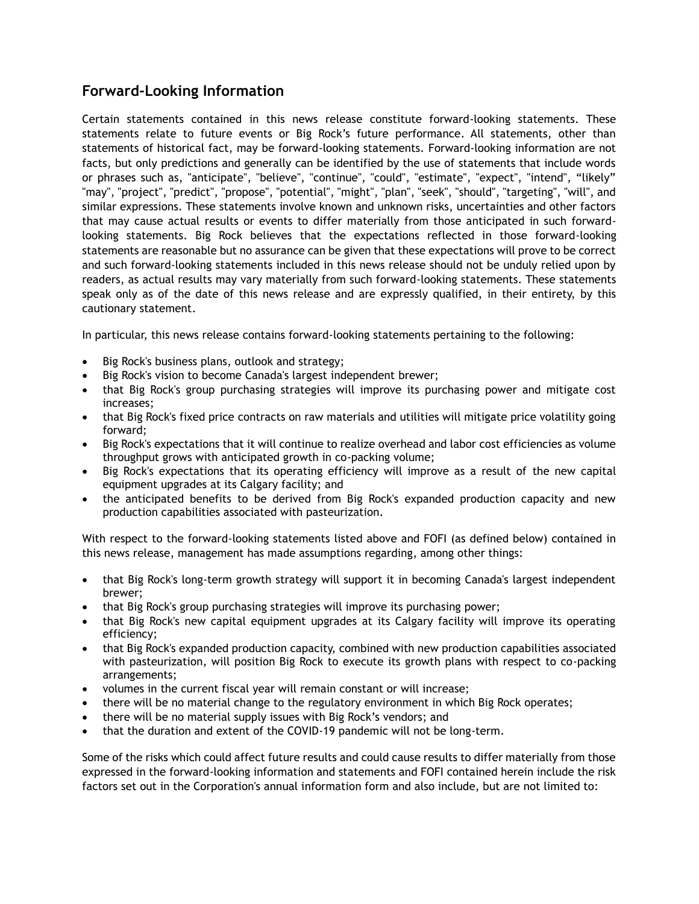## **Forward-Looking Information**

Certain statements contained in this news release constitute forward-looking statements. These statements relate to future events or Big Rock's future performance. All statements, other than statements of historical fact, may be forward-looking statements. Forward-looking information are not facts, but only predictions and generally can be identified by the use of statements that include words or phrases such as, "anticipate", "believe", "continue", "could", "estimate", "expect", "intend", "likely" "may", "project", "predict", "propose", "potential", "might", "plan", "seek", "should", "targeting", "will", and similar expressions. These statements involve known and unknown risks, uncertainties and other factors that may cause actual results or events to differ materially from those anticipated in such forwardlooking statements. Big Rock believes that the expectations reflected in those forward-looking statements are reasonable but no assurance can be given that these expectations will prove to be correct and such forward-looking statements included in this news release should not be unduly relied upon by readers, as actual results may vary materially from such forward-looking statements. These statements speak only as of the date of this news release and are expressly qualified, in their entirety, by this cautionary statement.

In particular, this news release contains forward-looking statements pertaining to the following:

- Big Rock's business plans, outlook and strategy;
- Big Rock's vision to become Canada's largest independent brewer;
- that Big Rock's group purchasing strategies will improve its purchasing power and mitigate cost increases;
- that Big Rock's fixed price contracts on raw materials and utilities will mitigate price volatility going forward;
- Big Rock's expectations that it will continue to realize overhead and labor cost efficiencies as volume throughput grows with anticipated growth in co-packing volume;
- Big Rock's expectations that its operating efficiency will improve as a result of the new capital equipment upgrades at its Calgary facility; and
- the anticipated benefits to be derived from Big Rock's expanded production capacity and new production capabilities associated with pasteurization.

With respect to the forward-looking statements listed above and FOFI (as defined below) contained in this news release, management has made assumptions regarding, among other things:

- that Big Rock's long-term growth strategy will support it in becoming Canada's largest independent brewer;
- that Big Rock's group purchasing strategies will improve its purchasing power;
- that Big Rock's new capital equipment upgrades at its Calgary facility will improve its operating efficiency;
- that Big Rock's expanded production capacity, combined with new production capabilities associated with pasteurization, will position Big Rock to execute its growth plans with respect to co-packing arrangements;
- volumes in the current fiscal year will remain constant or will increase;
- there will be no material change to the regulatory environment in which Big Rock operates;
- there will be no material supply issues with Big Rock's vendors; and
- that the duration and extent of the COVID-19 pandemic will not be long-term.

Some of the risks which could affect future results and could cause results to differ materially from those expressed in the forward-looking information and statements and FOFI contained herein include the risk factors set out in the Corporation's annual information form and also include, but are not limited to: